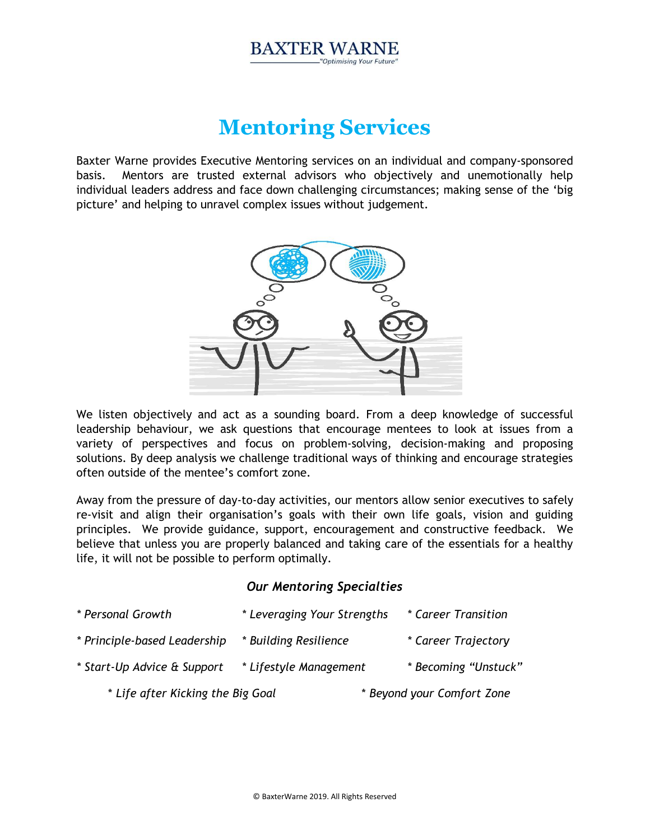#### **BAXTER WARNE** "Optimising Your Future"

# **Mentoring Services**

Baxter Warne provides Executive Mentoring services on an individual and company-sponsored basis. Mentors are trusted external advisors who objectively and unemotionally help individual leaders address and face down challenging circumstances; making sense of the 'big picture' and helping to unravel complex issues without judgement.



We listen objectively and act as a sounding board. From a deep knowledge of successful leadership behaviour, we ask questions that encourage mentees to look at issues from a variety of perspectives and focus on problem-solving, decision-making and proposing solutions. By deep analysis we challenge traditional ways of thinking and encourage strategies often outside of the mentee's comfort zone.

Away from the pressure of day-to-day activities, our mentors allow senior executives to safely re-visit and align their organisation's goals with their own life goals, vision and guiding principles. We provide guidance, support, encouragement and constructive feedback. We believe that unless you are properly balanced and taking care of the essentials for a healthy life, it will not be possible to perform optimally.

## *Our Mentoring Specialties*

| * Life after Kicking the Big Goal |                             | * Beyond your Comfort Zone |
|-----------------------------------|-----------------------------|----------------------------|
| * Start-Up Advice & Support       | * Lifestyle Management      | * Becoming "Unstuck"       |
| * Principle-based Leadership      | * Building Resilience       | * Career Trajectory        |
| * Personal Growth                 | * Leveraging Your Strengths | * Career Transition        |